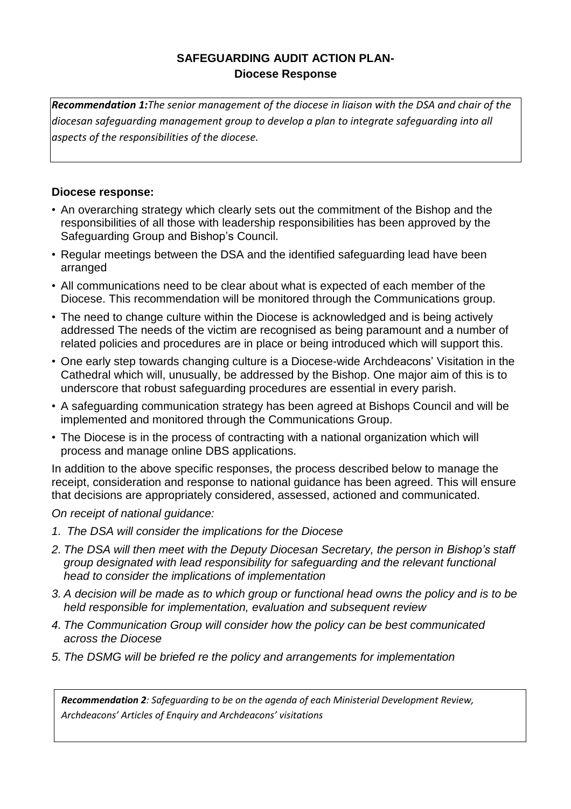# **SAFEGUARDING AUDIT ACTION PLAN-Diocese Response**

*Recommendation 1:The senior management of the diocese in liaison with the DSA and chair of the diocesan safeguarding management group to develop a plan to integrate safeguarding into all aspects of the responsibilities of the diocese.* 

## **Diocese response:**

- An overarching strategy which clearly sets out the commitment of the Bishop and the responsibilities of all those with leadership responsibilities has been approved by the Safeguarding Group and Bishop's Council.
- Regular meetings between the DSA and the identified safeguarding lead have been arranged
- All communications need to be clear about what is expected of each member of the Diocese. This recommendation will be monitored through the Communications group.
- The need to change culture within the Diocese is acknowledged and is being actively addressed The needs of the victim are recognised as being paramount and a number of related policies and procedures are in place or being introduced which will support this.
- One early step towards changing culture is a Diocese-wide Archdeacons' Visitation in the Cathedral which will, unusually, be addressed by the Bishop. One major aim of this is to underscore that robust safeguarding procedures are essential in every parish.
- A safeguarding communication strategy has been agreed at Bishops Council and will be implemented and monitored through the Communications Group.
- The Diocese is in the process of contracting with a national organization which will process and manage online DBS applications.

In addition to the above specific responses, the process described below to manage the receipt, consideration and response to national guidance has been agreed. This will ensure that decisions are appropriately considered, assessed, actioned and communicated.

*On receipt of national guidance:*

- *1. The DSA will consider the implications for the Diocese*
- *2. The DSA will then meet with the Deputy Diocesan Secretary, the person in Bishop's staff group designated with lead responsibility for safeguarding and the relevant functional head to consider the implications of implementation*
- 3. A decision will be made as to which group or functional head owns the policy and is to be *held responsible for implementation, evaluation and subsequent review*
- *4. The Communication Group will consider how the policy can be best communicated across the Diocese*
- *5. The DSMG will be briefed re the policy and arrangements for implementation*

*Recommendation 2: Safeguarding to be on the agenda of each Ministerial Development Review, Archdeacons' Articles of Enquiry and Archdeacons' visitations*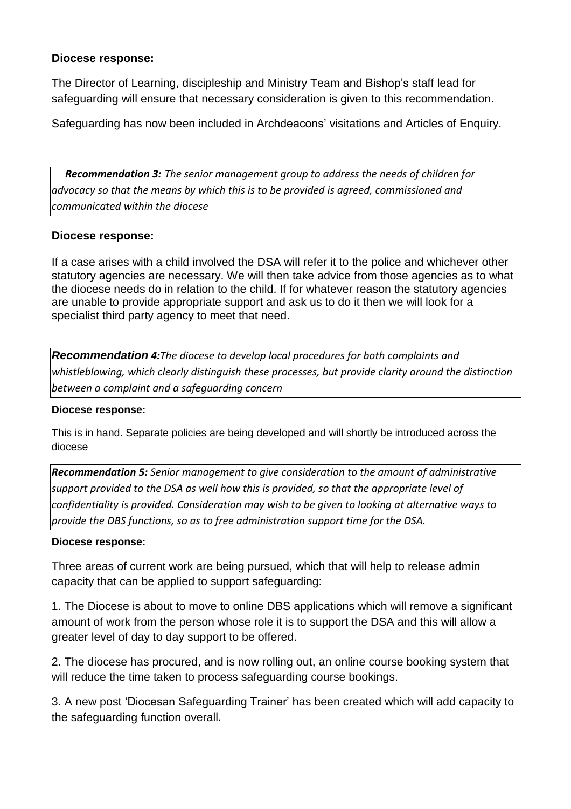### **Diocese response:**

The Director of Learning, discipleship and Ministry Team and Bishop's staff lead for safeguarding will ensure that necessary consideration is given to this recommendation.

Safeguarding has now been included in Archdeacons' visitations and Articles of Enquiry.

*Recommendation 3: The senior management group to address the needs of children for advocacy so that the means by which this is to be provided is agreed, commissioned and communicated within the diocese*

### **Diocese response:**

If a case arises with a child involved the DSA will refer it to the police and whichever other statutory agencies are necessary. We will then take advice from those agencies as to what the diocese needs do in relation to the child. If for whatever reason the statutory agencies are unable to provide appropriate support and ask us to do it then we will look for a specialist third party agency to meet that need.

*Recommendation 4:The diocese to develop local procedures for both complaints and whistleblowing, which clearly distinguish these processes, but provide clarity around the distinction between a complaint and a safeguarding concern*

#### **Diocese response:**

This is in hand. Separate policies are being developed and will shortly be introduced across the diocese

*Recommendation 5: Senior management to give consideration to the amount of administrative support provided to the DSA as well how this is provided, so that the appropriate level of confidentiality is provided. Consideration may wish to be given to looking at alternative ways to provide the DBS functions, so as to free administration support time for the DSA.*

#### **Diocese response:**

Three areas of current work are being pursued, which that will help to release admin capacity that can be applied to support safeguarding:

1. The Diocese is about to move to online DBS applications which will remove a significant amount of work from the person whose role it is to support the DSA and this will allow a greater level of day to day support to be offered.

2. The diocese has procured, and is now rolling out, an online course booking system that will reduce the time taken to process safeguarding course bookings.

3. A new post 'Diocesan Safeguarding Trainer' has been created which will add capacity to the safeguarding function overall.